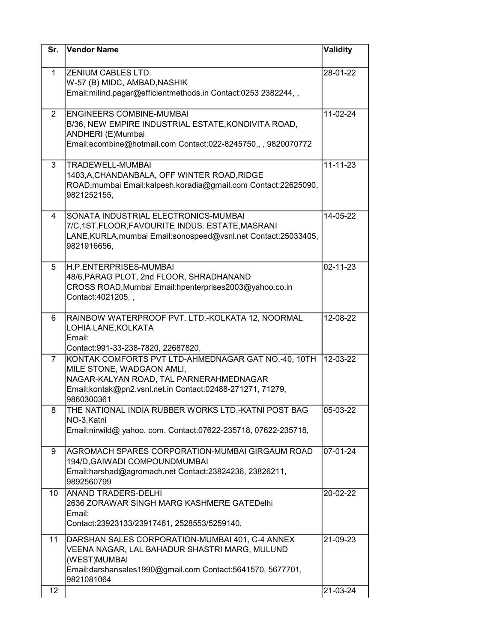| Sr.             | <b>Vendor Name</b>                                                                                                                                                                                     | Validity       |
|-----------------|--------------------------------------------------------------------------------------------------------------------------------------------------------------------------------------------------------|----------------|
| 1               | ZENIUM CABLES LTD.<br>W-57 (B) MIDC, AMBAD, NASHIK<br>Email:milind.pagar@efficientmethods.in Contact:0253 2382244,,                                                                                    | 28-01-22       |
| $\overline{2}$  | <b>ENGINEERS COMBINE-MUMBAI</b><br>B/36, NEW EMPIRE INDUSTRIAL ESTATE, KONDIVITA ROAD,<br>ANDHERI (E)Mumbai<br>Email:ecombine@hotmail.com Contact:022-8245750,,, 9820070772                            | 11-02-24       |
| 3               | <b>TRADEWELL-MUMBAI</b><br>1403, A, CHANDANBALA, OFF WINTER ROAD, RIDGE<br>ROAD, mumbai Email: kalpesh. koradia@gmail.com Contact: 22625090,<br>9821252155,                                            | $11 - 11 - 23$ |
| 4               | SONATA INDUSTRIAL ELECTRONICS-MUMBAI<br>7/C,1ST.FLOOR,FAVOURITE INDUS. ESTATE, MASRANI<br>LANE, KURLA, mumbai Email: sonospeed@vsnl.net Contact: 25033405,<br>9821916656,                              | 14-05-22       |
| 5               | H.P.ENTERPRISES-MUMBAI<br>48/6, PARAG PLOT, 2nd FLOOR, SHRADHANAND<br>CROSS ROAD, Mumbai Email: hpenterprises 2003@yahoo.co.in<br>Contact:4021205,,                                                    | 02-11-23       |
| 6               | RAINBOW WATERPROOF PVT. LTD.-KOLKATA 12, NOORMAL<br>LOHIA LANE, KOLKATA<br>Email:<br>Contact:991-33-238-7820, 22687820,                                                                                | $12 - 08 - 22$ |
| $\overline{7}$  | KONTAK COMFORTS PVT LTD-AHMEDNAGAR GAT NO.-40, 10TH<br>MILE STONE, WADGAON AMLI,<br>NAGAR-KALYAN ROAD, TAL PARNERAHMEDNAGAR<br>Email:kontak@pn2.vsnl.net.in Contact:02488-271271, 71279,<br>9860300361 | 12-03-22       |
| 8               | THE NATIONAL INDIA RUBBER WORKS LTD.-KATNI POST BAG<br>NO-3, Katni<br>Email:nirwild@ yahoo. com. Contact:07622-235718, 07622-235718,                                                                   | 05-03-22       |
| 9               | AGROMACH SPARES CORPORATION-MUMBAI GIRGAUM ROAD<br>194/D, GAIWADI COMPOUNDMUMBAI<br>Email:harshad@agromach.net Contact:23824236, 23826211,<br>9892560799                                               | 07-01-24       |
| 10              | <b>ANAND TRADERS-DELHI</b><br>2636 ZORAWAR SINGH MARG KASHMERE GATEDelhi<br>Email:<br>Contact:23923133/23917461, 2528553/5259140,                                                                      | 20-02-22       |
| 11              | DARSHAN SALES CORPORATION-MUMBAI 401, C-4 ANNEX<br>VEENA NAGAR, LAL BAHADUR SHASTRI MARG, MULUND<br>(WEST)MUMBAI<br>Email:darshansales1990@gmail.com Contact:5641570, 5677701,<br>9821081064           | 21-09-23       |
| 12 <sup>°</sup> |                                                                                                                                                                                                        | 21-03-24       |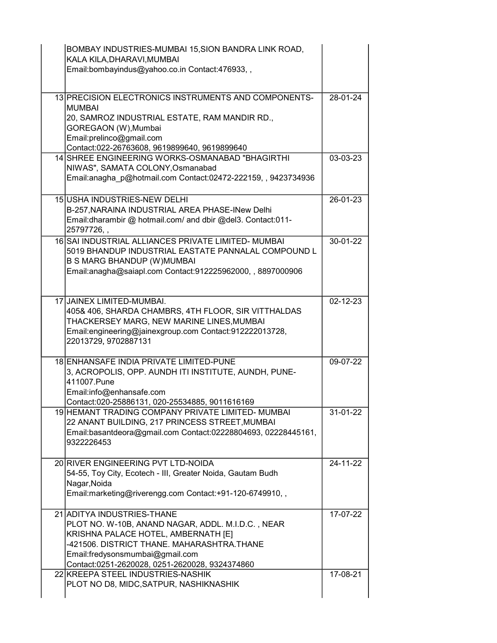| BOMBAY INDUSTRIES-MUMBAI 15, SION BANDRA LINK ROAD,<br>KALA KILA, DHARAVI, MUMBAI<br>Email:bombayindus@yahoo.co.in Contact:476933,,                                                                                                                       |          |
|-----------------------------------------------------------------------------------------------------------------------------------------------------------------------------------------------------------------------------------------------------------|----------|
| 13 PRECISION ELECTRONICS INSTRUMENTS AND COMPONENTS-<br><b>MUMBAI</b><br>20, SAMROZ INDUSTRIAL ESTATE, RAM MANDIR RD.,<br>GOREGAON (W), Mumbai<br>Email:prelinco@gmail.com<br>Contact:022-26763608, 9619899640, 9619899640                                | 28-01-24 |
| 14 SHREE ENGINEERING WORKS-OSMANABAD "BHAGIRTHI<br>NIWAS", SAMATA COLONY, Osmanabad<br>Email:anagha p@hotmail.com Contact:02472-222159,, 9423734936                                                                                                       | 03-03-23 |
| 15 USHA INDUSTRIES-NEW DELHI<br>B-257, NARAINA INDUSTRIAL AREA PHASE-INew Delhi<br>Email:dharambir @ hotmail.com/ and dbir @del3. Contact:011-<br>25797726,,                                                                                              | 26-01-23 |
| 16 SAI INDUSTRIAL ALLIANCES PRIVATE LIMITED- MUMBAI<br>5019 BHANDUP INDUSTRIAL EASTATE PANNALAL COMPOUND L<br><b>B S MARG BHANDUP (W)MUMBAI</b><br>Email:anagha@saiapl.com Contact:912225962000, , 8897000906                                             | 30-01-22 |
| 17 JAINEX LIMITED-MUMBAI.<br>405& 406, SHARDA CHAMBRS, 4TH FLOOR, SIR VITTHALDAS<br>THACKERSEY MARG, NEW MARINE LINES, MUMBAI<br>Email:engineering@jainexgroup.com Contact:912222013728,<br>22013729, 9702887131                                          | 02-12-23 |
| 18 ENHANSAFE INDIA PRIVATE LIMITED-PUNE<br>3, ACROPOLIS, OPP. AUNDH ITI INSTITUTE, AUNDH, PUNE-<br>411007.Pune<br>Email:info@enhansafe.com<br>Contact:020-25886131, 020-25534885, 9011616169                                                              | 09-07-22 |
| 19 HEMANT TRADING COMPANY PRIVATE LIMITED- MUMBAI<br>22 ANANT BUILDING, 217 PRINCESS STREET, MUMBAI<br>Email:basantdeora@gmail.com Contact:02228804693, 02228445161,<br>9322226453                                                                        | 31-01-22 |
| 20 RIVER ENGINEERING PVT LTD-NOIDA<br>54-55, Toy City, Ecotech - III, Greater Noida, Gautam Budh<br>Nagar, Noida<br>Email:marketing@riverengg.com Contact:+91-120-6749910,,                                                                               | 24-11-22 |
| 21 ADITYA INDUSTRIES-THANE<br>PLOT NO. W-10B, ANAND NAGAR, ADDL. M.I.D.C., NEAR<br>KRISHNA PALACE HOTEL, AMBERNATH [E]<br>-421506. DISTRICT THANE. MAHARASHTRA.THANE<br>Email:fredysonsmumbai@gmail.com<br>Contact:0251-2620028, 0251-2620028, 9324374860 | 17-07-22 |
| 22 KREEPA STEEL INDUSTRIES-NASHIK<br>PLOT NO D8, MIDC, SATPUR, NASHIKNASHIK                                                                                                                                                                               | 17-08-21 |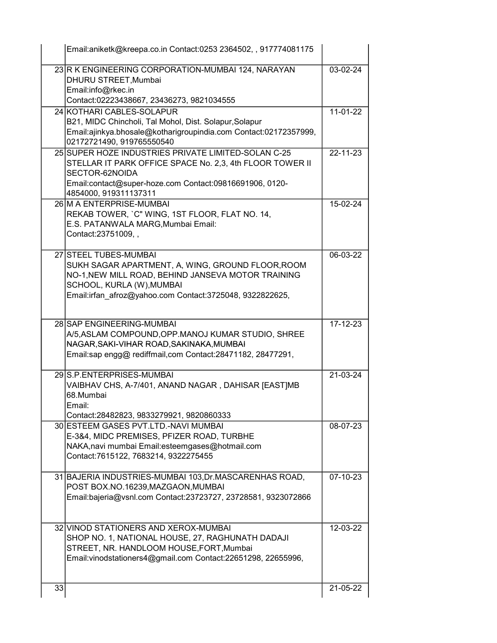|    | Email:aniketk@kreepa.co.in Contact:0253 2364502, , 917774081175                                                                                                                                                           |                |
|----|---------------------------------------------------------------------------------------------------------------------------------------------------------------------------------------------------------------------------|----------------|
|    | 23 R K ENGINEERING CORPORATION-MUMBAI 124, NARAYAN<br>DHURU STREET, Mumbai<br>Email:info@rkec.in                                                                                                                          | 03-02-24       |
|    | Contact:02223438667, 23436273, 9821034555                                                                                                                                                                                 |                |
|    | 24 KOTHARI CABLES-SOLAPUR<br>B21, MIDC Chincholi, Tal Mohol, Dist. Solapur, Solapur<br>Email:ajinkya.bhosale@kotharigroupindia.com Contact:02172357999,<br>02172721490, 919765550540                                      | 11-01-22       |
|    | 25 SUPER HOZE INDUSTRIES PRIVATE LIMITED-SOLAN C-25<br>STELLAR IT PARK OFFICE SPACE No. 2,3, 4th FLOOR TOWER II<br>SECTOR-62NOIDA<br>Email:contact@super-hoze.com Contact:09816691906, 0120-<br>4854000, 919311137311     | $22 - 11 - 23$ |
|    | 26 M A ENTERPRISE-MUMBAI<br>REKAB TOWER, `C" WING, 1ST FLOOR, FLAT NO. 14,<br>E.S. PATANWALA MARG, Mumbai Email:<br>Contact: 23751009,,                                                                                   | 15-02-24       |
|    | 27 STEEL TUBES-MUMBAI<br>SUKH SAGAR APARTMENT, A, WING, GROUND FLOOR, ROOM<br>NO-1, NEW MILL ROAD, BEHIND JANSEVA MOTOR TRAINING<br>SCHOOL, KURLA (W), MUMBAI<br>Email:irfan_afroz@yahoo.com Contact:3725048, 9322822625, | 06-03-22       |
|    | 28 SAP ENGINEERING-MUMBAI<br>A/5, ASLAM COMPOUND, OPP. MANOJ KUMAR STUDIO, SHREE<br>NAGAR, SAKI-VIHAR ROAD, SAKINAKA, MUMBAI<br>Email:sap engg@ rediffmail,com Contact:28471182, 28477291,                                | 17-12-23       |
|    | 29 S.P. ENTERPRISES-MUMBAI<br>VAIBHAV CHS, A-7/401, ANAND NAGAR, DAHISAR [EAST]MB<br>68.Mumbai<br>Email:<br>Contact:28482823, 9833279921, 9820860333                                                                      | 21-03-24       |
|    | 30 ESTEEM GASES PVT.LTD.-NAVI MUMBAI<br>E-3&4, MIDC PREMISES, PFIZER ROAD, TURBHE<br>NAKA, navi mumbai Email: esteemgases@hotmail.com<br>Contact:7615122, 7683214, 9322275455                                             | 08-07-23       |
|    | 31 BAJERIA INDUSTRIES-MUMBAI 103, Dr. MASCARENHAS ROAD,<br>POST BOX.NO.16239, MAZGAON, MUMBAI<br>Email:bajeria@vsnl.com Contact:23723727, 23728581, 9323072866                                                            | 07-10-23       |
|    | 32 VINOD STATIONERS AND XEROX-MUMBAI<br>SHOP NO. 1, NATIONAL HOUSE, 27, RAGHUNATH DADAJI<br>STREET, NR. HANDLOOM HOUSE, FORT, Mumbai<br>Email: vinodstationers4@gmail.com Contact: 22651298, 22655996,                    | 12-03-22       |
| 33 |                                                                                                                                                                                                                           | 21-05-22       |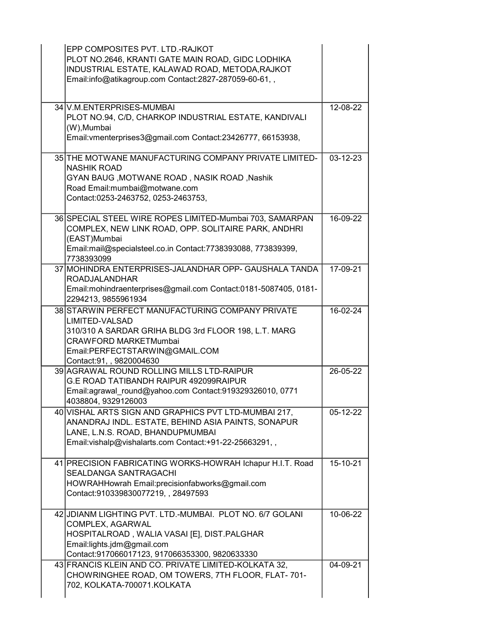| EPP COMPOSITES PVT. LTD.-RAJKOT<br>PLOT NO.2646, KRANTI GATE MAIN ROAD, GIDC LODHIKA<br>INDUSTRIAL ESTATE, KALAWAD ROAD, METODA, RAJKOT<br>Email:info@atikagroup.com Contact:2827-287059-60-61,,                         |                |
|--------------------------------------------------------------------------------------------------------------------------------------------------------------------------------------------------------------------------|----------------|
| 34 V.M.ENTERPRISES-MUMBAI<br>PLOT NO.94, C/D, CHARKOP INDUSTRIAL ESTATE, KANDIVALI<br>(W), Mumbai<br>Email: vmenterprises 3@gmail.com Contact: 23426777, 66153938,                                                       | 12-08-22       |
| 35 THE MOTWANE MANUFACTURING COMPANY PRIVATE LIMITED-<br><b>NASHIK ROAD</b><br>GYAN BAUG, MOTWANE ROAD, NASIK ROAD, Nashik<br>Road Email:mumbai@motwane.com<br>Contact:0253-2463752, 0253-2463753,                       | $03 - 12 - 23$ |
| 36 SPECIAL STEEL WIRE ROPES LIMITED-Mumbai 703, SAMARPAN<br>COMPLEX, NEW LINK ROAD, OPP. SOLITAIRE PARK, ANDHRI<br>(EAST)Mumbai<br>Email:mail@specialsteel.co.in Contact:7738393088, 773839399,<br>7738393099            | 16-09-22       |
| 37 MOHINDRA ENTERPRISES-JALANDHAR OPP- GAUSHALA TANDA<br><b>ROADJALANDHAR</b><br>Email:mohindraenterprises@gmail.com Contact:0181-5087405, 0181-<br>2294213, 9855961934                                                  | 17-09-21       |
| 38 STARWIN PERFECT MANUFACTURING COMPANY PRIVATE<br>LIMITED-VALSAD<br>310/310 A SARDAR GRIHA BLDG 3rd FLOOR 198, L.T. MARG<br><b>CRAWFORD MARKETMumbai</b><br>Email:PERFECTSTARWIN@GMAIL.COM<br>Contact:91, , 9820004630 | 16-02-24       |
| 39 AGRAWAL ROUND ROLLING MILLS LTD-RAIPUR<br>G.E ROAD TATIBANDH RAIPUR 492099RAIPUR<br>Email:agrawal round@yahoo.com Contact:919329326010, 0771<br>4038804, 9329126003                                                   | 26-05-22       |
| 40 VISHAL ARTS SIGN AND GRAPHICS PVT LTD-MUMBAI 217,<br>ANANDRAJ INDL. ESTATE, BEHIND ASIA PAINTS, SONAPUR<br>LANE, L.N.S. ROAD, BHANDUPMUMBAI<br>Email: vishalp@vishalarts.com Contact: +91-22-25663291,,               | 05-12-22       |
| 41 PRECISION FABRICATING WORKS-HOWRAH Ichapur H.I.T. Road<br>SEALDANGA SANTRAGACHI<br>HOWRAHHowrah Email:precisionfabworks@gmail.com<br>Contact:910339830077219,, 28497593                                               | 15-10-21       |
| 42 JDIANM LIGHTING PVT. LTD.-MUMBAI. PLOT NO. 6/7 GOLANI<br>COMPLEX, AGARWAL<br>HOSPITALROAD, WALIA VASAI [E], DIST.PALGHAR<br>Email:lights.jdm@gmail.com<br>Contact:917066017123, 917066353300, 9820633330              | 10-06-22       |
| 43 FRANCIS KLEIN AND CO. PRIVATE LIMITED-KOLKATA 32,<br>CHOWRINGHEE ROAD, OM TOWERS, 7TH FLOOR, FLAT-701-<br>702, KOLKATA-700071.KOLKATA                                                                                 | 04-09-21       |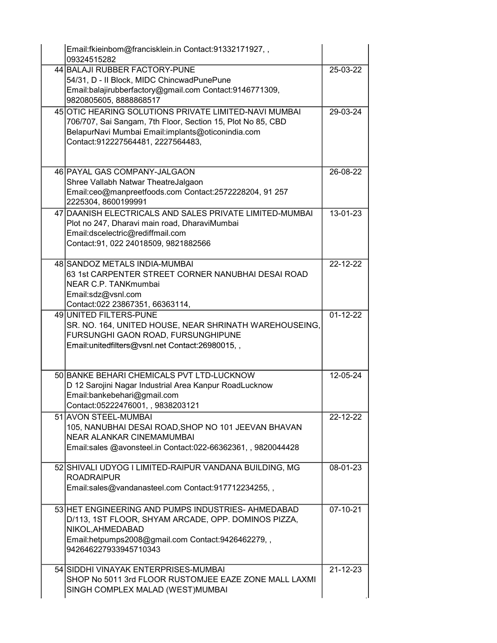|  | Email:fkieinbom@francisklein.in Contact:91332171927,,<br>09324515282                                                                                                                                           |                |
|--|----------------------------------------------------------------------------------------------------------------------------------------------------------------------------------------------------------------|----------------|
|  | 44 BALAJI RUBBER FACTORY-PUNE<br>54/31, D - II Block, MIDC ChincwadPunePune<br>Email:balajirubberfactory@gmail.com Contact:9146771309,<br>9820805605, 8888868517                                               | 25-03-22       |
|  | 45 OTIC HEARING SOLUTIONS PRIVATE LIMITED-NAVI MUMBAI<br>706/707, Sai Sangam, 7th Floor, Section 15, Plot No 85, CBD<br>BelapurNavi Mumbai Email:implants@oticonindia.com<br>Contact:912227564481, 2227564483, | 29-03-24       |
|  | 46 PAYAL GAS COMPANY-JALGAON<br>Shree Vallabh Natwar TheatreJalgaon<br>Email:ceo@manpreetfoods.com Contact:2572228204, 91 257<br>2225304, 8600199991                                                           | 26-08-22       |
|  | 47 DAANISH ELECTRICALS AND SALES PRIVATE LIMITED-MUMBAI<br>Plot no 247, Dharavi main road, DharaviMumbai<br>Email:dscelectric@rediffmail.com<br>Contact: 91, 022 24018509, 9821882566                          | 13-01-23       |
|  | 48 SANDOZ METALS INDIA-MUMBAI<br>63 1st CARPENTER STREET CORNER NANUBHAI DESAI ROAD<br>NEAR C.P. TANKmumbai<br>Email:sdz@vsnl.com<br>Contact:022 23867351, 66363114,                                           | 22-12-22       |
|  | 49 UNITED FILTERS-PUNE<br>SR. NO. 164, UNITED HOUSE, NEAR SHRINATH WAREHOUSEING,<br>FURSUNGHI GAON ROAD, FURSUNGHIPUNE<br>Email: unitedfilters@vsnl.net Contact: 26980015,,                                    | $01 - 12 - 22$ |
|  | 50 BANKE BEHARI CHEMICALS PVT LTD-LUCKNOW<br>D 12 Sarojini Nagar Industrial Area Kanpur RoadLucknow<br>Email:bankebehari@gmail.com<br>Contact:05222476001,,9838203121                                          | 12-05-24       |
|  | 51 AVON STEEL-MUMBAI<br>105, NANUBHAI DESAI ROAD, SHOP NO 101 JEEVAN BHAVAN<br><b>NEAR ALANKAR CINEMAMUMBAI</b><br>Email:sales @avonsteel.in Contact:022-66362361, , 9820044428                                | 22-12-22       |
|  | 52 SHIVALI UDYOG I LIMITED-RAIPUR VANDANA BUILDING, MG<br><b>ROADRAIPUR</b><br>Email:sales@vandanasteel.com Contact:917712234255,,                                                                             | 08-01-23       |
|  | 53 HET ENGINEERING AND PUMPS INDUSTRIES- AHMEDABAD<br>D/113, 1ST FLOOR, SHYAM ARCADE, OPP. DOMINOS PIZZA,<br>NIKOL, AHMEDABAD<br>Email:hetpumps2008@gmail.com Contact:9426462279,,<br>942646227933945710343    | 07-10-21       |
|  | 54 SIDDHI VINAYAK ENTERPRISES-MUMBAI<br>SHOP No 5011 3rd FLOOR RUSTOMJEE EAZE ZONE MALL LAXMI<br>SINGH COMPLEX MALAD (WEST)MUMBAI                                                                              | $21 - 12 - 23$ |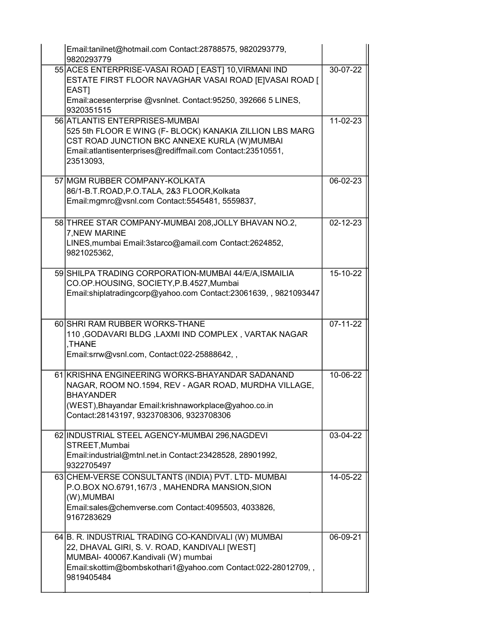| Email:tanilnet@hotmail.com Contact:28788575, 9820293779,<br>9820293779                                                                                                                                                            |                       |
|-----------------------------------------------------------------------------------------------------------------------------------------------------------------------------------------------------------------------------------|-----------------------|
| 55 ACES ENTERPRISE-VASAI ROAD [ EAST] 10, VIRMANI IND<br>ESTATE FIRST FLOOR NAVAGHAR VASAI ROAD [E]VASAI ROAD [<br>EAST]<br>Email: acesenterprise @vsnlnet. Contact: 95250, 392666 5 LINES,                                       | 30-07-22              |
| 9320351515                                                                                                                                                                                                                        |                       |
| 56 ATLANTIS ENTERPRISES-MUMBAI<br>525 5th FLOOR E WING (F- BLOCK) KANAKIA ZILLION LBS MARG<br>CST ROAD JUNCTION BKC ANNEXE KURLA (W) MUMBAI<br>Email:atlantisenterprises@rediffmail.com Contact:23510551,<br>23513093,            | 11-02-23              |
| 57 MGM RUBBER COMPANY-KOLKATA<br>86/1-B.T.ROAD,P.O.TALA, 2&3 FLOOR,Kolkata<br>Email:mgmrc@vsnl.com Contact:5545481, 5559837,                                                                                                      | 06-02-23              |
| 58 THREE STAR COMPANY-MUMBAI 208, JOLLY BHAVAN NO.2,<br>7, NEW MARINE<br>LINES, mumbai Email: 3starco@amail.com Contact: 2624852,<br>9821025362.                                                                                  | $02 - 12 - 23$        |
| 59 SHILPA TRADING CORPORATION-MUMBAI 44/E/A, ISMAILIA<br>CO.OP.HOUSING, SOCIETY, P.B.4527, Mumbai<br>Email:shiplatradingcorp@yahoo.com Contact:23061639,, 9821093447                                                              | 15-10-22              |
| 60 SHRI RAM RUBBER WORKS-THANE<br>110, GODAVARI BLDG, LAXMI IND COMPLEX, VARTAK NAGAR<br>,THANE<br>Email:srrw@vsnl.com, Contact:022-25888642,,                                                                                    | $\overline{07-11-22}$ |
| 61 KRISHNA ENGINEERING WORKS-BHAYANDAR SADANAND<br>NAGAR, ROOM NO.1594, REV - AGAR ROAD, MURDHA VILLAGE,<br><b>BHAYANDER</b><br>(WEST), Bhayandar Email: krishnaworkplace@yahoo.co.in<br>Contact:28143197, 9323708306, 9323708306 | 10-06-22              |
| 62 INDUSTRIAL STEEL AGENCY-MUMBAI 296, NAGDEVI<br>STREET, Mumbai<br>Email:industrial@mtnl.net.in Contact:23428528, 28901992,<br>9322705497                                                                                        | 03-04-22              |
| 63 CHEM-VERSE CONSULTANTS (INDIA) PVT. LTD-MUMBAI<br>P.O.BOX NO.6791,167/3, MAHENDRA MANSION, SION<br>(W), MUMBAI<br>Email:sales@chemverse.com Contact:4095503, 4033826,<br>9167283629                                            | 14-05-22              |
| 64 B. R. INDUSTRIAL TRADING CO-KANDIVALI (W) MUMBAI<br>22, DHAVAL GIRI, S. V. ROAD, KANDIVALI [WEST]<br>MUMBAI- 400067.Kandivali (W) mumbai<br>Email:skottim@bombskothari1@yahoo.com Contact:022-28012709,,<br>9819405484         | 06-09-21              |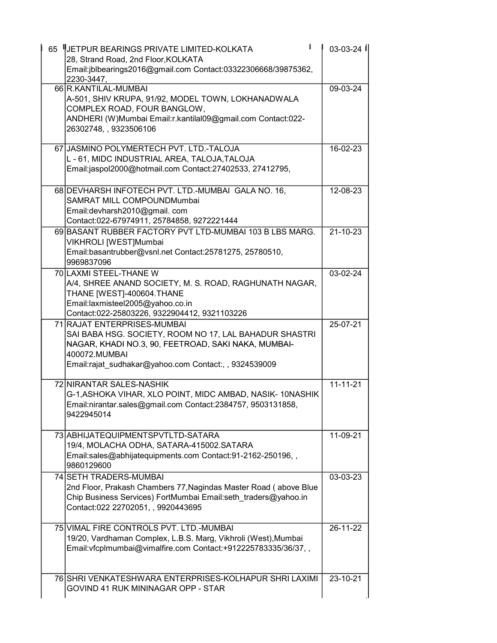| 65 | UETPUR BEARINGS PRIVATE LIMITED-KOLKATA<br>28, Strand Road, 2nd Floor, KOLKATA                                                                                                                                         | $03-03-24$     |
|----|------------------------------------------------------------------------------------------------------------------------------------------------------------------------------------------------------------------------|----------------|
|    | Email:jblbearings2016@gmail.com Contact:03322306668/39875362,<br>2230-3447,                                                                                                                                            |                |
|    | 66 R.KANTILAL-MUMBAI<br>A-501, SHIV KRUPA, 91/92, MODEL TOWN, LOKHANADWALA<br>COMPLEX ROAD, FOUR BANGLOW,<br>ANDHERI (W)Mumbai Email:r.kantilal09@gmail.com Contact:022-<br>26302748, , 9323506106                     | 09-03-24       |
|    | 67 JASMINO POLYMERTECH PVT. LTD.-TALOJA<br>L - 61, MIDC INDUSTRIAL AREA, TALOJA, TALOJA<br>Email:jaspol2000@hotmail.com Contact:27402533, 27412795,                                                                    | 16-02-23       |
|    | 68 DEVHARSH INFOTECH PVT. LTD.-MUMBAI GALA NO. 16,<br>SAMRAT MILL COMPOUNDMumbai<br>Email: devharsh 2010@gmail.com<br>Contact:022-67974911, 25784858, 9272221444                                                       | 12-08-23       |
|    | 69 BASANT RUBBER FACTORY PVT LTD-MUMBAI 103 B LBS MARG.<br>VIKHROLI [WEST]Mumbai<br>Email:basantrubber@vsnl.net Contact:25781275, 25780510,<br>9969837096                                                              | 21-10-23       |
|    | 70 LAXMI STEEL-THANE W<br>A/4, SHREE ANAND SOCIETY, M. S. ROAD, RAGHUNATH NAGAR,<br>THANE [WEST]-400604.THANE<br>Email:laxmisteel2005@yahoo.co.in<br>Contact:022-25803226, 9322904412, 9321103226                      | 03-02-24       |
|    | 71 RAJAT ENTERPRISES-MUMBAI<br>SAI BABA HSG. SOCIETY, ROOM NO 17, LAL BAHADUR SHASTRI<br>NAGAR, KHADI NO.3, 90, FEETROAD, SAKI NAKA, MUMBAI-<br>400072.MUMBAI<br>Email:rajat_sudhakar@yahoo.com Contact:, , 9324539009 | 25-07-21       |
|    | 72 NIRANTAR SALES-NASHIK<br>G-1, ASHOKA VIHAR, XLO POINT, MIDC AMBAD, NASIK-10NASHIK<br>Email:nirantar.sales@gmail.com Contact:2384757, 9503131858,<br>9422945014                                                      | $11 - 11 - 21$ |
|    | 73 ABHIJATEQUIPMENTSPVTLTD-SATARA<br>19/4, MOLACHA ODHA, SATARA-415002.SATARA<br>Email:sales@abhijatequipments.com Contact:91-2162-250196,,<br>9860129600                                                              | 11-09-21       |
|    | 74 SETH TRADERS-MUMBAI<br>2nd Floor, Prakash Chambers 77, Nagindas Master Road (above Blue<br>Chip Business Services) FortMumbai Email:seth_traders@yahoo.in<br>Contact:022 22702051, , 9920443695                     | 03-03-23       |
|    | 75 VIMAL FIRE CONTROLS PVT. LTD.-MUMBAI<br>19/20, Vardhaman Complex, L.B.S. Marg, Vikhroli (West), Mumbai<br>Email: vfcplmumbai@vimalfire.com Contact: +912225783335/36/37,,                                           | 26-11-22       |
|    | 76 SHRI VENKATESHWARA ENTERPRISES-KOLHAPUR SHRI LAXIMI<br>GOVIND 41 RUK MININAGAR OPP - STAR                                                                                                                           | 23-10-21       |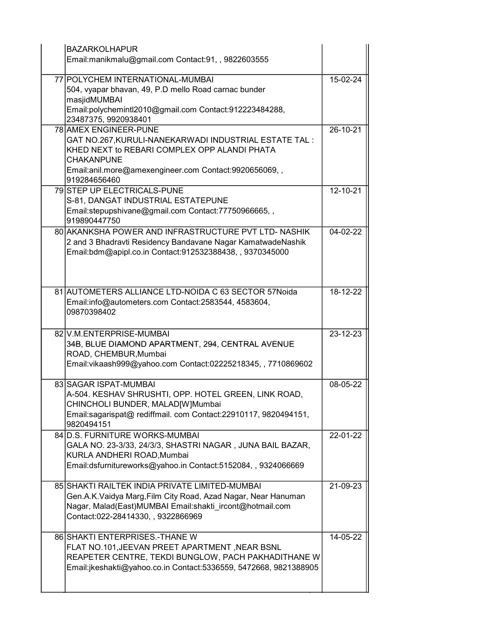| <b>BAZARKOLHAPUR</b>                                                                     |          |
|------------------------------------------------------------------------------------------|----------|
| Email:manikmalu@gmail.com Contact:91,, 9822603555                                        |          |
| 77 POLYCHEM INTERNATIONAL-MUMBAI                                                         | 15-02-24 |
| 504, vyapar bhavan, 49, P.D mello Road carnac bunder                                     |          |
| masjidMUMBAI<br>Email:polychemintl2010@gmail.com Contact:912223484288,                   |          |
| 23487375, 9920938401                                                                     |          |
| 78 AMEX ENGINEER-PUNE                                                                    | 26-10-21 |
| GAT NO.267, KURULI-NANEKARWADI INDUSTRIAL ESTATE TAL:                                    |          |
| KHED NEXT to REBARI COMPLEX OPP ALANDI PHATA                                             |          |
| <b>CHAKANPUNE</b>                                                                        |          |
| Email:anil.more@amexengineer.com Contact:9920656069,,                                    |          |
| 919284656460<br>79 STEP UP ELECTRICALS-PUNE                                              | 12-10-21 |
| S-81, DANGAT INDUSTRIAL ESTATEPUNE                                                       |          |
| Email:stepupshivane@gmail.com Contact:77750966665,,                                      |          |
| 919890447750                                                                             |          |
| 80 AKANKSHA POWER AND INFRASTRUCTURE PVT LTD- NASHIK                                     | 04-02-22 |
| 2 and 3 Bhadravti Residency Bandavane Nagar KamatwadeNashik                              |          |
| Email:bdm@apipl.co.in Contact:912532388438,, 9370345000                                  |          |
|                                                                                          |          |
|                                                                                          |          |
| 81 AUTOMETERS ALLIANCE LTD-NOIDA C 63 SECTOR 57 Noida                                    | 18-12-22 |
| Email:info@autometers.com Contact:2583544, 4583604,                                      |          |
| 09870398402                                                                              |          |
| 82 V.M.ENTERPRISE-MUMBAI                                                                 | 23-12-23 |
| 34B, BLUE DIAMOND APARTMENT, 294, CENTRAL AVENUE                                         |          |
| ROAD, CHEMBUR, Mumbai                                                                    |          |
| Email: vikaash999@yahoo.com Contact:02225218345,, 7710869602                             |          |
|                                                                                          |          |
| 83 SAGAR ISPAT-MUMBAI                                                                    | 08-05-22 |
| A-504. KESHAV SHRUSHTI, OPP. HOTEL GREEN, LINK ROAD,<br>CHINCHOLI BUNDER, MALAD[W]Mumbai |          |
| Email:sagarispat@ rediffmail. com Contact:22910117, 9820494151,                          |          |
| 9820494151                                                                               |          |
| 84 D.S. FURNITURE WORKS-MUMBAI                                                           | 22-01-22 |
| GALA NO. 23-3/33, 24/3/3, SHASTRI NAGAR, JUNA BAIL BAZAR,                                |          |
| KURLA ANDHERI ROAD, Mumbai                                                               |          |
| Email:dsfurnitureworks@yahoo.in Contact:5152084, , 9324066669                            |          |
| 85 SHAKTI RAILTEK INDIA PRIVATE LIMITED-MUMBAI                                           | 21-09-23 |
| Gen.A.K.Vaidya Marg, Film City Road, Azad Nagar, Near Hanuman                            |          |
| Nagar, Malad(East)MUMBAI Email:shakti ircont@hotmail.com                                 |          |
| Contact:022-28414330, , 9322866969                                                       |          |
| 86 SHAKTI ENTERPRISES.-THANE W                                                           | 14-05-22 |
| FLAT NO.101, JEEVAN PREET APARTMENT, NEAR BSNL                                           |          |
| REAPETER CENTRE, TEKDI BUNGLOW, PACH PAKHADITHANE W                                      |          |
| Email:jkeshakti@yahoo.co.in Contact:5336559, 5472668, 9821388905                         |          |
|                                                                                          |          |
|                                                                                          |          |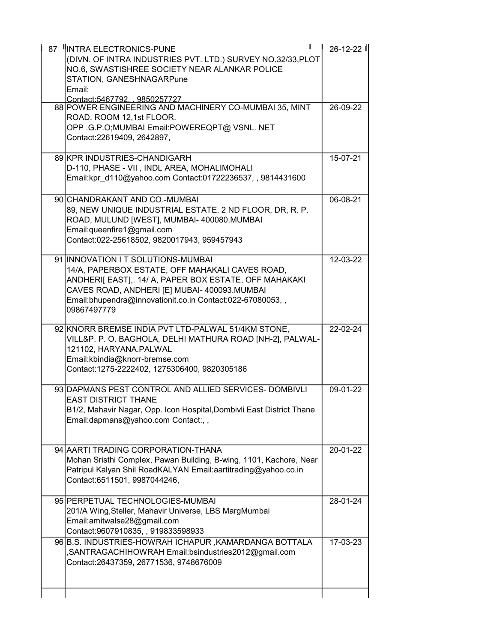| 87  INTRA ELECTRONICS-PUNE<br>(DIVN. OF INTRA INDUSTRIES PVT. LTD.) SURVEY NO.32/33, PLOT<br>NO.6, SWASTISHREE SOCIETY NEAR ALANKAR POLICE<br>STATION, GANESHNAGARPune<br>Email:                                                                                            | 26-12-22 |
|-----------------------------------------------------------------------------------------------------------------------------------------------------------------------------------------------------------------------------------------------------------------------------|----------|
| Contact:5467792. . 9850257727<br>88 POWER ENGINEERING AND MACHINERY CO-MUMBAI 35, MINT<br>ROAD. ROOM 12,1st FLOOR.<br>OPP .G.P.O; MUMBAI Email: POWEREQPT@ VSNL. NET<br>Contact:22619409, 2642897,                                                                          | 26-09-22 |
| 89 KPR INDUSTRIES-CHANDIGARH<br>D-110, PHASE - VII, INDL AREA, MOHALIMOHALI<br>Email:kpr d110@yahoo.com Contact:01722236537, , 9814431600                                                                                                                                   | 15-07-21 |
| 90 CHANDRAKANT AND CO.-MUMBAI<br>89, NEW UNIQUE INDUSTRIAL ESTATE, 2 ND FLOOR, DR, R. P.<br>ROAD, MULUND [WEST], MUMBAI- 400080.MUMBAI<br>Email:queenfire1@gmail.com<br>Contact:022-25618502, 9820017943, 959457943                                                         | 06-08-21 |
| 91 INNOVATION IT SOLUTIONS-MUMBAI<br>14/A, PAPERBOX ESTATE, OFF MAHAKALI CAVES ROAD,<br>ANDHERI[ EAST],. 14/ A, PAPER BOX ESTATE, OFF MAHAKAKI<br>CAVES ROAD, ANDHERI [E] MUBAI- 400093. MUMBAI<br>Email:bhupendra@innovationit.co.in Contact:022-67080053,,<br>09867497779 | 12-03-22 |
| 92 KNORR BREMSE INDIA PVT LTD-PALWAL 51/4KM STONE,<br>VILL&P. P. O. BAGHOLA, DELHI MATHURA ROAD [NH-2], PALWAL-<br>121102, HARYANA.PALWAL<br>Email:kbindia@knorr-bremse.com<br>Contact:1275-2222402, 1275306400, 9820305186                                                 | 22-02-24 |
| 93 DAPMANS PEST CONTROL AND ALLIED SERVICES- DOMBIVLI<br><b>EAST DISTRICT THANE</b><br>B1/2, Mahavir Nagar, Opp. Icon Hospital, Dombivli East District Thane<br>Email:dapmans@yahoo.com Contact:, ,                                                                         | 09-01-22 |
| 94 AARTI TRADING CORPORATION-THANA<br>Mohan Sristhi Complex, Pawan Building, B-wing, 1101, Kachore, Near<br>Patripul Kalyan Shil RoadKALYAN Email:aartitrading@yahoo.co.in<br>Contact:6511501, 9987044246,                                                                  | 20-01-22 |
| 95 PERPETUAL TECHNOLOGIES-MUMBAI<br>201/A Wing, Steller, Mahavir Universe, LBS MargMumbai<br>Email:amitwalse28@gmail.com<br>Contact:9607910835,, 919833598933                                                                                                               | 28-01-24 |
| 96 B.S. INDUSTRIES-HOWRAH ICHAPUR, KAMARDANGA BOTTALA<br>,SANTRAGACHIHOWRAH Email:bsindustries2012@gmail.com                                                                                                                                                                | 17-03-23 |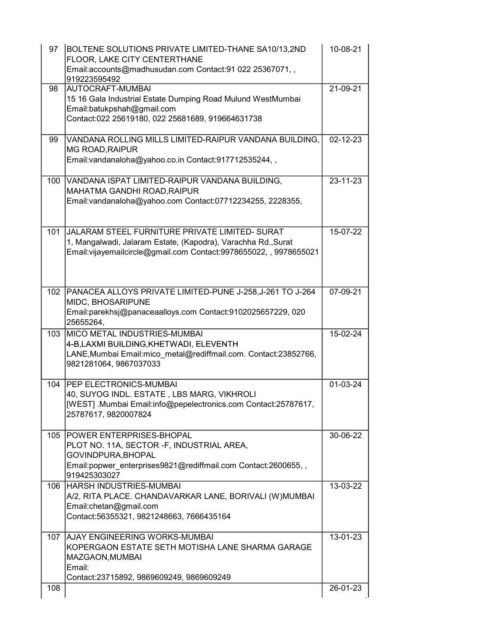| 97  | BOLTENE SOLUTIONS PRIVATE LIMITED-THANE SA10/13,2ND<br>FLOOR, LAKE CITY CENTERTHANE<br>Email:accounts@madhusudan.com Contact:91 022 25367071,, | 10-08-21       |
|-----|------------------------------------------------------------------------------------------------------------------------------------------------|----------------|
|     | 919223595492                                                                                                                                   |                |
| 98  | AUTOCRAFT-MUMBAI                                                                                                                               | 21-09-21       |
|     | 15 16 Gala Industrial Estate Dumping Road Mulund WestMumbai                                                                                    |                |
|     | Email:batukpshah@gmail.com                                                                                                                     |                |
|     | Contact:022 25619180, 022 25681689, 919664631738                                                                                               |                |
| 99  | VANDANA ROLLING MILLS LIMITED-RAIPUR VANDANA BUILDING,                                                                                         | $02 - 12 - 23$ |
|     | <b>MG ROAD, RAIPUR</b>                                                                                                                         |                |
|     | Email: vandanaloha@yahoo.co.in Contact:917712535244,,                                                                                          |                |
|     |                                                                                                                                                |                |
| 100 | VANDANA ISPAT LIMITED-RAIPUR VANDANA BUILDING,                                                                                                 | 23-11-23       |
|     | MAHATMA GANDHI ROAD, RAIPUR                                                                                                                    |                |
|     | Email:vandanaloha@yahoo.com Contact:07712234255, 2228355,                                                                                      |                |
|     |                                                                                                                                                |                |
| 101 | JALARAM STEEL FURNITURE PRIVATE LIMITED- SURAT                                                                                                 | 15-07-22       |
|     | 1, Mangalwadi, Jalaram Estate, (Kapodra), Varachha Rd., Surat                                                                                  |                |
|     | Email:vijayemailcircle@gmail.com Contact:9978655022,, 9978655021                                                                               |                |
|     |                                                                                                                                                |                |
|     |                                                                                                                                                |                |
|     |                                                                                                                                                |                |
| 102 | PANACEA ALLOYS PRIVATE LIMITED-PUNE J-258, J-261 TO J-264                                                                                      | 07-09-21       |
|     | MIDC, BHOSARIPUNE                                                                                                                              |                |
|     | Email:parekhsj@panaceaalloys.com Contact:9102025657229, 020                                                                                    |                |
|     | 25655264,                                                                                                                                      |                |
| 103 | MICO METAL INDUSTRIES-MUMBAI                                                                                                                   | 15-02-24       |
|     | 4-B,LAXMI BUILDING, KHETWADI, ELEVENTH                                                                                                         |                |
|     | LANE, Mumbai Email: mico metal@rediffmail.com. Contact: 23852766,                                                                              |                |
|     | 9821281064, 9867037033                                                                                                                         |                |
|     |                                                                                                                                                |                |
| 104 | <b>PEP ELECTRONICS-MUMBAI</b><br>40, SUYOG INDL. ESTATE, LBS MARG, VIKHROLI                                                                    | 01-03-24       |
|     | [WEST] .Mumbai Email:info@pepelectronics.com Contact:25787617,                                                                                 |                |
|     | 25787617, 9820007824                                                                                                                           |                |
|     |                                                                                                                                                |                |
| 105 | <b>POWER ENTERPRISES-BHOPAL</b>                                                                                                                | 30-06-22       |
|     | PLOT NO. 11A, SECTOR - F, INDUSTRIAL AREA,                                                                                                     |                |
|     | GOVINDPURA, BHOPAL                                                                                                                             |                |
|     | Email:popwer enterprises9821@rediffmail.com Contact:2600655,,                                                                                  |                |
|     | 919425303027                                                                                                                                   |                |
| 106 | <b>HARSH INDUSTRIES-MUMBAI</b>                                                                                                                 | 13-03-22       |
|     | A/2, RITA PLACE. CHANDAVARKAR LANE, BORIVALI (W) MUMBAI                                                                                        |                |
|     | Email:chetan@gmail.com                                                                                                                         |                |
|     | Contact:56355321, 9821248663, 7666435164                                                                                                       |                |
|     |                                                                                                                                                |                |
| 107 | <b>AJAY ENGINEERING WORKS-MUMBAI</b>                                                                                                           | 13-01-23       |
|     | KOPERGAON ESTATE SETH MOTISHA LANE SHARMA GARAGE                                                                                               |                |
|     | MAZGAON, MUMBAI                                                                                                                                |                |
|     | Email:<br>Contact:23715892, 9869609249, 9869609249                                                                                             |                |
| 108 |                                                                                                                                                | 26-01-23       |
|     |                                                                                                                                                |                |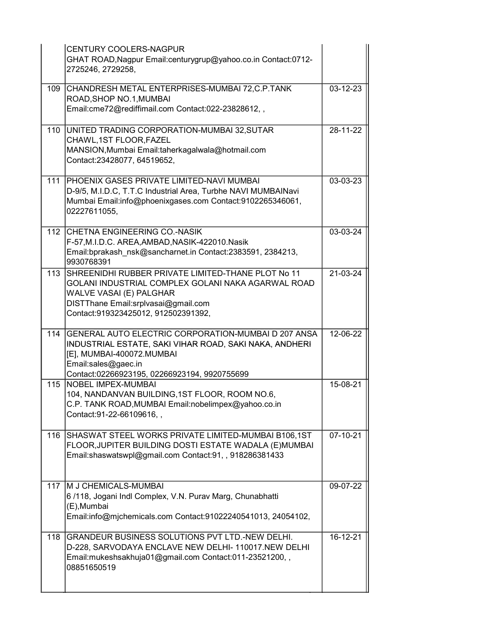|     | <b>CENTURY COOLERS-NAGPUR</b><br>GHAT ROAD, Nagpur Email: centurygrup@yahoo.co.in Contact: 0712-<br>2725246, 2729258,                                                                                             |          |
|-----|-------------------------------------------------------------------------------------------------------------------------------------------------------------------------------------------------------------------|----------|
| 109 | CHANDRESH METAL ENTERPRISES-MUMBAI 72, C.P. TANK<br>ROAD, SHOP NO.1, MUMBAI<br>Email:cme72@rediffimail.com Contact:022-23828612,,                                                                                 | 03-12-23 |
| 110 | UNITED TRADING CORPORATION-MUMBAI 32, SUTAR<br>CHAWL, 1ST FLOOR, FAZEL<br>MANSION, Mumbai Email: taherkagalwala@hotmail.com<br>Contact:23428077, 64519652,                                                        | 28-11-22 |
| 111 | <b>IPHOENIX GASES PRIVATE LIMITED-NAVI MUMBAI</b><br>D-9/5, M.I.D.C, T.T.C Industrial Area, Turbhe NAVI MUMBAINavi<br>Mumbai Email:info@phoenixgases.com Contact:9102265346061,<br>02227611055,                   | 03-03-23 |
| 112 | CHETNA ENGINEERING CO.-NASIK<br>F-57, M.I.D.C. AREA, AMBAD, NASIK-422010. Nasik<br>Email:bprakash_nsk@sancharnet.in Contact:2383591, 2384213,<br>9930768391                                                       | 03-03-24 |
| 113 | SHREENIDHI RUBBER PRIVATE LIMITED-THANE PLOT No 11<br>GOLANI INDUSTRIAL COMPLEX GOLANI NAKA AGARWAL ROAD<br>WALVE VASAI (E) PALGHAR<br>DISTThane Email:srplvasai@gmail.com<br>Contact:919323425012, 912502391392, | 21-03-24 |
| 114 | GENERAL AUTO ELECTRIC CORPORATION-MUMBAI D 207 ANSA<br>INDUSTRIAL ESTATE, SAKI VIHAR ROAD, SAKI NAKA, ANDHERI<br>[E], MUMBAI-400072.MUMBAI<br>Email:sales@gaec.in<br>Contact:02266923195, 02266923194, 9920755699 | 12-06-22 |
| 115 | <b>NOBEL IMPEX-MUMBAI</b><br>104, NANDANVAN BUILDING, 1ST FLOOR, ROOM NO.6,<br>C.P. TANK ROAD, MUMBAI Email: nobelimpex@yahoo.co.in<br>Contact: 91-22-66109616,,                                                  | 15-08-21 |
| 116 | SHASWAT STEEL WORKS PRIVATE LIMITED-MUMBAI B106,1ST<br>FLOOR, JUPITER BUILDING DOSTI ESTATE WADALA (E) MUMBAI<br>Email:shaswatswpl@gmail.com Contact:91,, 918286381433                                            | 07-10-21 |
| 117 | M J CHEMICALS-MUMBAI<br>6/118, Jogani Indl Complex, V.N. Purav Marg, Chunabhatti<br>(E), Mumbai<br>Email:info@mjchemicals.com Contact:91022240541013, 24054102,                                                   | 09-07-22 |
| 118 | GRANDEUR BUSINESS SOLUTIONS PVT LTD.-NEW DELHI.<br>D-228, SARVODAYA ENCLAVE NEW DELHI- 110017.NEW DELHI<br>Email:mukeshsakhuja01@gmail.com Contact:011-23521200,,<br>08851650519                                  | 16-12-21 |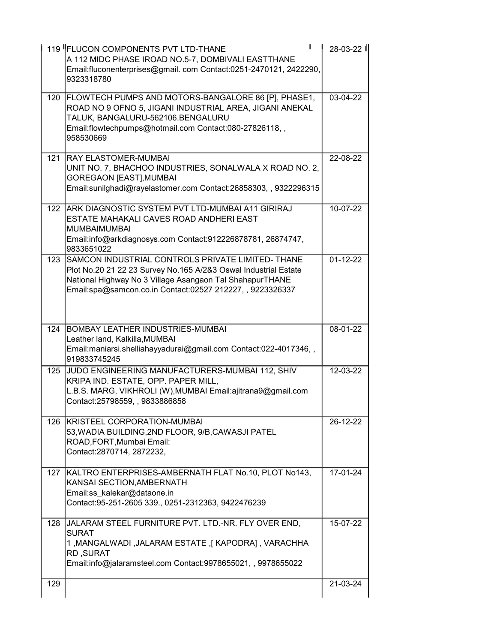|     | 119 FLUCON COMPONENTS PVT LTD-THANE<br>A 112 MIDC PHASE IROAD NO.5-7, DOMBIVALI EASTTHANE<br>Email:fluconenterprises@gmail.com Contact:0251-2470121, 2422290,<br>9323318780                                                                   | 28-03-22       |
|-----|-----------------------------------------------------------------------------------------------------------------------------------------------------------------------------------------------------------------------------------------------|----------------|
|     | 120 FLOWTECH PUMPS AND MOTORS-BANGALORE 86 [P], PHASE1,<br>ROAD NO 9 OFNO 5, JIGANI INDUSTRIAL AREA, JIGANI ANEKAL<br>TALUK, BANGALURU-562106.BENGALURU<br>Email:flowtechpumps@hotmail.com Contact:080-27826118,,<br>958530669                | 03-04-22       |
| 121 | <b>RAY ELASTOMER-MUMBAI</b><br>UNIT NO. 7, BHACHOO INDUSTRIES, SONALWALA X ROAD NO. 2,<br><b>GOREGAON [EAST], MUMBAI</b><br>Email:sunilghadi@rayelastomer.com Contact:26858303, , 9322296315                                                  | 22-08-22       |
| 122 | ARK DIAGNOSTIC SYSTEM PVT LTD-MUMBAI A11 GIRIRAJ<br>ESTATE MAHAKALI CAVES ROAD ANDHERI EAST<br><b>MUMBAIMUMBAI</b><br>Email:info@arkdiagnosys.com Contact:912226878781, 26874747,<br>9833651022                                               | 10-07-22       |
| 123 | SAMCON INDUSTRIAL CONTROLS PRIVATE LIMITED- THANE<br>Plot No.20 21 22 23 Survey No.165 A/2&3 Oswal Industrial Estate<br>National Highway No 3 Village Asangaon Tal ShahapurTHANE<br>Email:spa@samcon.co.in Contact:02527 212227, , 9223326337 | $01 - 12 - 22$ |
| 124 | BOMBAY LEATHER INDUSTRIES-MUMBAI<br>Leather land, Kalkilla, MUMBAI<br>Email:maniarsi.shelliahayyadurai@gmail.com Contact:022-4017346,,<br>919833745245                                                                                        | 08-01-22       |
| 125 | JUDO ENGINEERING MANUFACTURERS-MUMBAI 112, SHIV<br>KRIPA IND. ESTATE, OPP. PAPER MILL,<br>L.B.S. MARG, VIKHROLI (W), MUMBAI Email: ajitrana9@gmail.com<br>Contact:25798559, , 9833886858                                                      | 12-03-22       |
|     | 126 KRISTEEL CORPORATION-MUMBAI<br>53, WADIA BUILDING, 2ND FLOOR, 9/B, CAWASJI PATEL<br>ROAD, FORT, Mumbai Email:<br>Contact:2870714, 2872232,                                                                                                | 26-12-22       |
|     | 127 KALTRO ENTERPRISES-AMBERNATH FLAT No.10, PLOT No143,<br>KANSAI SECTION, AMBERNATH<br>Email:ss kalekar@dataone.in<br>Contact: 95-251-2605 339., 0251-2312363, 9422476239                                                                   | 17-01-24       |
| 128 | JALARAM STEEL FURNITURE PVT. LTD.-NR. FLY OVER END,<br><b>SURAT</b><br>1, MANGALWADI, JALARAM ESTATE, [KAPODRA], VARACHHA<br><b>RD, SURAT</b><br>Email:info@jalaramsteel.com Contact:9978655021,, 9978655022                                  | 15-07-22       |
| 129 |                                                                                                                                                                                                                                               | 21-03-24       |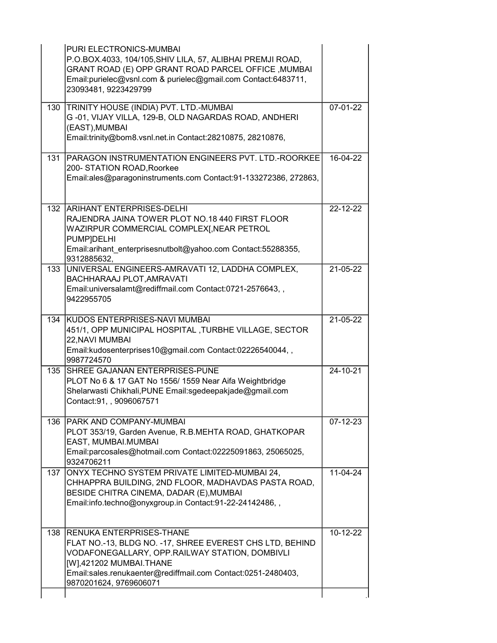|      | PURI ELECTRONICS-MUMBAI<br>P.O.BOX.4033, 104/105, SHIV LILA, 57, ALIBHAI PREMJI ROAD,<br>GRANT ROAD (E) OPP GRANT ROAD PARCEL OFFICE, MUMBAI<br>Email:purielec@vsnl.com & purielec@gmail.com Contact:6483711,<br>23093481, 9223429799                        |            |
|------|--------------------------------------------------------------------------------------------------------------------------------------------------------------------------------------------------------------------------------------------------------------|------------|
| 130  | TRINITY HOUSE (INDIA) PVT. LTD.-MUMBAI<br>G-01, VIJAY VILLA, 129-B, OLD NAGARDAS ROAD, ANDHERI<br>(EAST), MUMBAI<br>Email:trinity@bom8.vsnl.net.in Contact:28210875, 28210876,                                                                               | 07-01-22   |
| 131  | PARAGON INSTRUMENTATION ENGINEERS PVT. LTD.-ROORKEE<br>200- STATION ROAD, Roorkee<br>Email:ales@paragoninstruments.com Contact:91-133272386, 272863,                                                                                                         | 16-04-22   |
| 132  | <b>ARIHANT ENTERPRISES-DELHI</b><br>RAJENDRA JAINA TOWER PLOT NO.18 440 FIRST FLOOR<br>WAZIRPUR COMMERCIAL COMPLEX[,NEAR PETROL<br><b>PUMP]DELHI</b><br>Email:arihant enterprisesnutbolt@yahoo.com Contact:55288355,<br>9312885632,                          | 22-12-22   |
| 133  | UNIVERSAL ENGINEERS-AMRAVATI 12, LADDHA COMPLEX,<br>BACHHARAAJ PLOT, AMRAVATI<br>Email:universalamt@rediffmail.com Contact:0721-2576643,,<br>9422955705                                                                                                      | 21-05-22   |
| 134  | KUDOS ENTERPRISES-NAVI MUMBAI<br>451/1, OPP MUNICIPAL HOSPITAL, TURBHE VILLAGE, SECTOR<br>22, NAVI MUMBAI<br>Email:kudosenterprises10@gmail.com Contact:02226540044,,<br>9987724570                                                                          | 21-05-22   |
| 135  | <b>SHREE GAJANAN ENTERPRISES-PUNE</b><br>PLOT No 6 & 17 GAT No 1556/1559 Near Aifa Weightbridge<br>Shelarwasti Chikhali, PUNE Email: sgedeepakjade@gmail.com<br>Contact:91,, 9096067571                                                                      | 24-10-21   |
| 136. | <b>IPARK AND COMPANY-MUMBAI</b><br>PLOT 353/19, Garden Avenue, R.B.MEHTA ROAD, GHATKOPAR<br>EAST, MUMBAI.MUMBAI<br>Email:parcosales@hotmail.com Contact:02225091863, 25065025,<br>9324706211                                                                 | 07-12-23   |
| 137  | ONYX TECHNO SYSTEM PRIVATE LIMITED-MUMBAI 24,<br>CHHAPPRA BUILDING, 2ND FLOOR, MADHAVDAS PASTA ROAD,<br>BESIDE CHITRA CINEMA, DADAR (E), MUMBAI<br>Email:info.techno@onyxgroup.in Contact:91-22-24142486,,                                                   | 11-04-24   |
| 138  | IRENUKA ENTERPRISES-THANE<br>FLAT NO.-13, BLDG NO. -17, SHREE EVEREST CHS LTD, BEHIND<br>VODAFONEGALLARY, OPP.RAILWAY STATION, DOMBIVLI<br>[W],421202 MUMBAI.THANE<br>Email:sales.renukaenter@rediffmail.com Contact:0251-2480403,<br>9870201624, 9769606071 | $10-12-22$ |
|      |                                                                                                                                                                                                                                                              |            |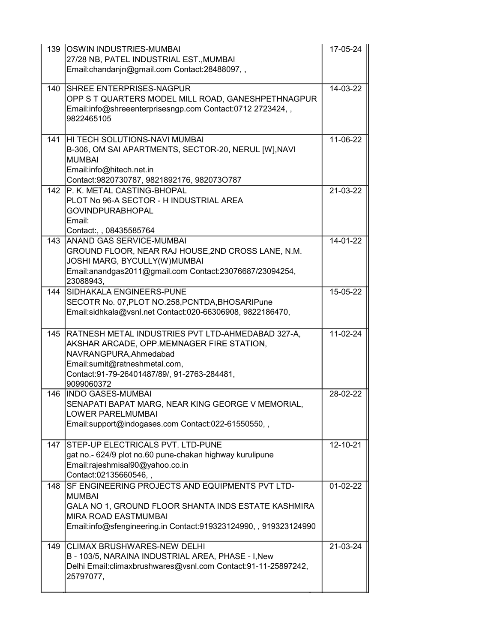| 139 | <b>OSWIN INDUSTRIES-MUMBAL</b><br>27/28 NB, PATEL INDUSTRIAL EST., MUMBAI<br>Email:chandanjn@gmail.com Contact:28488097,,                                                                                                 | 17-05-24   |
|-----|---------------------------------------------------------------------------------------------------------------------------------------------------------------------------------------------------------------------------|------------|
| 140 | <b>SHREE ENTERPRISES-NAGPUR</b><br>OPP S T QUARTERS MODEL MILL ROAD, GANESHPETHNAGPUR<br>Email:info@shreeenterprisesngp.com Contact:0712 2723424,,<br>9822465105                                                          | 14-03-22   |
| 141 | HI TECH SOLUTIONS-NAVI MUMBAI<br>B-306, OM SAI APARTMENTS, SECTOR-20, NERUL [W], NAVI<br><b>MUMBAI</b><br>Email:info@hitech.net.in<br>Contact:9820730787, 9821892176, 982073O787                                          | 11-06-22   |
| 142 | P. K. METAL CASTING-BHOPAL<br>PLOT No 96-A SECTOR - H INDUSTRIAL AREA<br><b>GOVINDPURABHOPAL</b><br>Email:<br>Contact:, , 08435585764                                                                                     | 21-03-22   |
| 143 | <b>ANAND GAS SERVICE-MUMBAI</b><br>GROUND FLOOR, NEAR RAJ HOUSE, 2ND CROSS LANE, N.M.<br>JOSHI MARG, BYCULLY(W)MUMBAI<br>Email:anandgas2011@gmail.com Contact:23076687/23094254,<br>23088943,                             | 14-01-22   |
| 144 | SIDHAKALA ENGINEERS-PUNE<br>SECOTR No. 07, PLOT NO.258, PCNTDA, BHOSARIPune<br>Email:sidhkala@vsnl.net Contact:020-66306908, 9822186470,                                                                                  | 15-05-22   |
| 145 | RATNESH METAL INDUSTRIES PVT LTD-AHMEDABAD 327-A,<br>AKSHAR ARCADE, OPP.MEMNAGER FIRE STATION,<br>NAVRANGPURA, Ahmedabad<br>Email:sumit@ratneshmetal.com,<br>Contact:91-79-26401487/89/, 91-2763-284481,<br>9099060372    | 11-02-24   |
| 146 | <b>INDO GASES-MUMBAI</b><br>SENAPATI BAPAT MARG, NEAR KING GEORGE V MEMORIAL<br><b>LOWER PARELMUMBAI</b><br>Email:support@indogases.com Contact:022-61550550,,                                                            | 28-02-22   |
| 147 | STEP-UP ELECTRICALS PVT. LTD-PUNE<br>gat no.- 624/9 plot no.60 pune-chakan highway kurulipune<br>Email:rajeshmisal90@yahoo.co.in<br>Contact:02135660546,,                                                                 | 12-10-21   |
| 148 | SF ENGINEERING PROJECTS AND EQUIPMENTS PVT LTD-<br><b>MUMBAI</b><br>GALA NO 1, GROUND FLOOR SHANTA INDS ESTATE KASHMIRA<br><b>MIRA ROAD EASTMUMBAI</b><br>Email:info@sfengineering.in Contact:919323124990,, 919323124990 | $01-02-22$ |
| 149 | CLIMAX BRUSHWARES-NEW DELHI<br>B - 103/5, NARAINA INDUSTRIAL AREA, PHASE - I, New<br>Delhi Email:climaxbrushwares@vsnl.com Contact:91-11-25897242,<br>25797077,                                                           | 21-03-24   |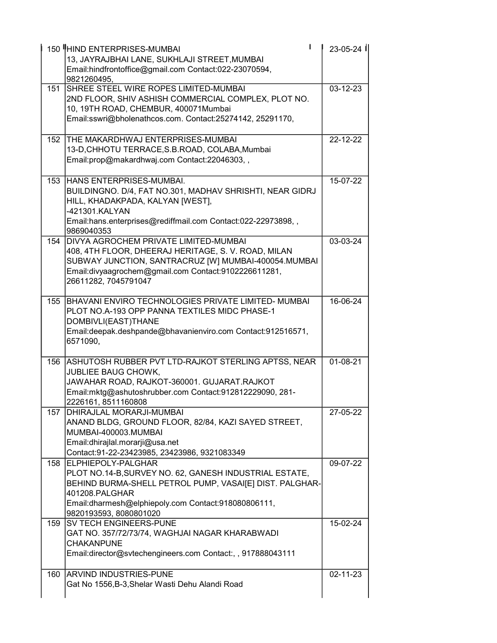|      | 150 HIND ENTERPRISES-MUMBAI<br>13, JAYRAJBHAI LANE, SUKHLAJI STREET, MUMBAI<br>Email:hindfrontoffice@gmail.com Contact:022-23070594,<br>9821260495.                                                                                         | 23-05-24       |
|------|---------------------------------------------------------------------------------------------------------------------------------------------------------------------------------------------------------------------------------------------|----------------|
| 151  | SHREE STEEL WIRE ROPES LIMITED-MUMBAI<br>2ND FLOOR, SHIV ASHISH COMMERCIAL COMPLEX, PLOT NO.<br>10, 19TH ROAD, CHEMBUR, 400071Mumbai<br>Email:sswri@bholenathcos.com. Contact:25274142, 25291170,                                           | 03-12-23       |
| 152  | THE MAKARDHWAJ ENTERPRISES-MUMBAI<br>13-D, CHHOTU TERRACE, S.B. ROAD, COLABA, Mumbai<br>Email:prop@makardhwaj.com Contact:22046303,,                                                                                                        | 22-12-22       |
| 153  | HANS ENTERPRISES-MUMBAI.<br>BUILDINGNO. D/4, FAT NO.301, MADHAV SHRISHTI, NEAR GIDRJ<br>HILL, KHADAKPADA, KALYAN [WEST],<br>-421301.KALYAN<br>Email:hans.enterprises@rediffmail.com Contact:022-22973898,,<br>9869040353                    | 15-07-22       |
| 154  | <b>DIVYA AGROCHEM PRIVATE LIMITED-MUMBAL</b><br>408, 4TH FLOOR, DHEERAJ HERITAGE, S. V. ROAD, MILAN<br>SUBWAY JUNCTION, SANTRACRUZ [W] MUMBAI-400054.MUMBAI<br>Email:divyaagrochem@gmail.com Contact:9102226611281,<br>26611282, 7045791047 | 03-03-24       |
| 155  | BHAVANI ENVIRO TECHNOLOGIES PRIVATE LIMITED- MUMBAI<br>PLOT NO.A-193 OPP PANNA TEXTILES MIDC PHASE-1<br>DOMBIVLI(EAST)THANE<br>Email:deepak.deshpande@bhavanienviro.com Contact:912516571,<br>6571090,                                      | 16-06-24       |
| 156  | ASHUTOSH RUBBER PVT LTD-RAJKOT STERLING APTSS, NEAR<br><b>JUBLIEE BAUG CHOWK,</b><br>JAWAHAR ROAD, RAJKOT-360001. GUJARAT.RAJKOT<br>Email:mktg@ashutoshrubber.com Contact:912812229090, 281-<br>2226161, 8511160808                         | 01-08-21       |
| 157  | DHIRAJLAL MORARJI-MUMBAI<br>ANAND BLDG, GROUND FLOOR, 82/84, KAZI SAYED STREET,<br>MUMBAI-400003.MUMBAI<br>Email:dhirajlal.morarji@usa.net<br>Contact:91-22-23423985, 23423986, 9321083349                                                  | 27-05-22       |
| 158  | ELPHIEPOLY-PALGHAR<br>PLOT NO.14-B, SURVEY NO. 62, GANESH INDUSTRIAL ESTATE,<br>BEHIND BURMA-SHELL PETROL PUMP, VASAI[E] DIST. PALGHAR-<br>401208.PALGHAR<br>Email:dharmesh@elphiepoly.com Contact:918080806111,<br>9820193593, 8080801020  | 09-07-22       |
| 159  | <b>SV TECH ENGINEERS-PUNE</b><br>GAT NO. 357/72/73/74, WAGHJAI NAGAR KHARABWADI<br><b>CHAKANPUNE</b><br>Email:director@svtechengineers.com Contact:, , 917888043111                                                                         | 15-02-24       |
| 160. | <b>ARVIND INDUSTRIES-PUNE</b><br>Gat No 1556, B-3, Shelar Wasti Dehu Alandi Road                                                                                                                                                            | $02 - 11 - 23$ |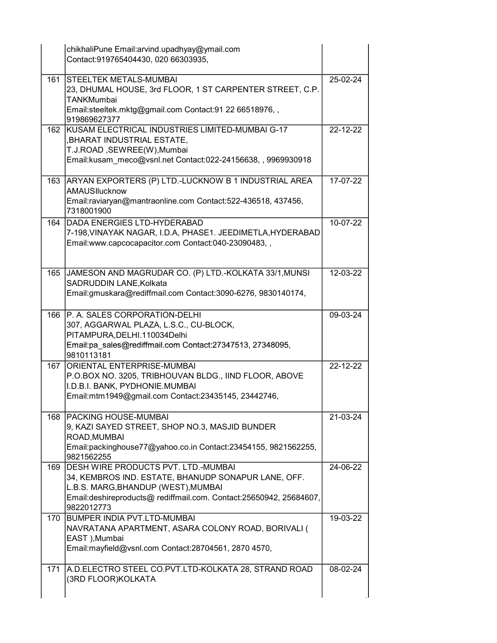|     | chikhaliPune Email:arvind.upadhyay@ymail.com<br>Contact:919765404430, 020 66303935,                                                                                                                                          |          |
|-----|------------------------------------------------------------------------------------------------------------------------------------------------------------------------------------------------------------------------------|----------|
| 161 | <b>STEELTEK METALS-MUMBAI</b><br>23, DHUMAL HOUSE, 3rd FLOOR, 1 ST CARPENTER STREET, C.P.<br><b>TANKMumbai</b><br>Email:steeltek.mktg@gmail.com Contact:91 22 66518976,,<br>919869627377                                     | 25-02-24 |
| 162 | KUSAM ELECTRICAL INDUSTRIES LIMITED-MUMBAI G-17<br>, BHARAT INDUSTRIAL ESTATE,<br>T.J.ROAD, SEWREE(W), Mumbai<br>Email:kusam meco@vsnl.net Contact:022-24156638,, 9969930918                                                 | 22-12-22 |
| 163 | ARYAN EXPORTERS (P) LTD.-LUCKNOW B 1 INDUSTRIAL AREA<br>AMAUSIlucknow<br>Email:raviaryan@mantraonline.com Contact:522-436518, 437456,<br>7318001900                                                                          | 17-07-22 |
| 164 | <b>DADA ENERGIES LTD-HYDERABAD</b><br>7-198, VINAYAK NAGAR, I.D.A, PHASE1. JEEDIMETLA, HYDERABAD<br>Email:www.capcocapacitor.com Contact:040-23090483,,                                                                      | 10-07-22 |
| 165 | JAMESON AND MAGRUDAR CO. (P) LTD.-KOLKATA 33/1, MUNSI<br>SADRUDDIN LANE, Kolkata<br>Email:gmuskara@rediffmail.com Contact:3090-6276, 9830140174,                                                                             | 12-03-22 |
| 166 | P. A. SALES CORPORATION-DELHI<br>307, AGGARWAL PLAZA, L.S.C., CU-BLOCK,<br>PITAMPURA, DELHI. 110034 Delhi<br>Email:pa_sales@rediffmail.com Contact:27347513, 27348095,<br>9810113181                                         | 09-03-24 |
| 167 | <b>ORIENTAL ENTERPRISE-MUMBAI</b><br>P.O.BOX NO. 3205, TRIBHOUVAN BLDG., IIND FLOOR, ABOVE<br>I.D.B.I. BANK, PYDHONIE.MUMBAI<br>Email:mtm1949@gmail.com Contact:23435145, 23442746,                                          | 22-12-22 |
| 168 | <b>PACKING HOUSE-MUMBAL</b><br>9, KAZI SAYED STREET, SHOP NO.3, MASJID BUNDER<br>ROAD, MUMBAI<br>Email:packinghouse77@yahoo.co.in Contact:23454155, 9821562255,<br>9821562255                                                | 21-03-24 |
| 169 | <b>DESH WIRE PRODUCTS PVT. LTD.-MUMBAI</b><br>34, KEMBROS IND. ESTATE, BHANUDP SONAPUR LANE, OFF.<br>L.B.S. MARG, BHANDUP (WEST), MUMBAI<br>Email:deshireproducts@ rediffmail.com. Contact:25650942, 25684607,<br>9822012773 | 24-06-22 |
| 170 | BUMPER INDIA PVT.LTD-MUMBAI<br>NAVRATANA APARTMENT, ASARA COLONY ROAD, BORIVALI (<br>EAST), Mumbai<br>Email:mayfield@vsnl.com Contact:28704561, 2870 4570,                                                                   | 19-03-22 |
| 171 | A.D.ELECTRO STEEL CO.PVT.LTD-KOLKATA 28, STRAND ROAD<br>(3RD FLOOR)KOLKATA                                                                                                                                                   | 08-02-24 |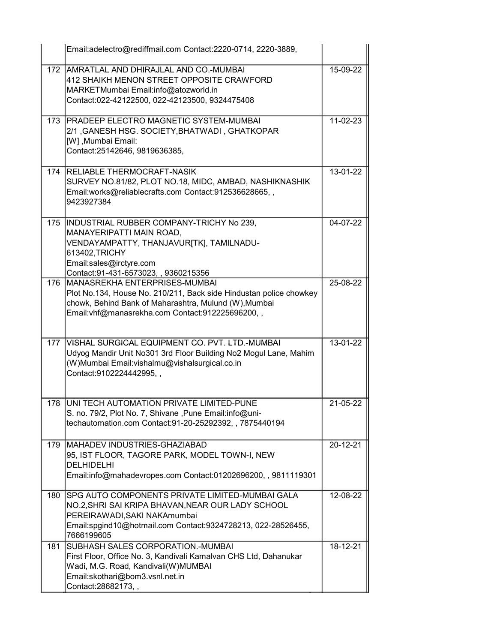|      | Email:adelectro@rediffmail.com Contact:2220-0714, 2220-3889,                                                                                                                                                       |                |
|------|--------------------------------------------------------------------------------------------------------------------------------------------------------------------------------------------------------------------|----------------|
| 172  | AMRATLAL AND DHIRAJLAL AND CO.-MUMBAI<br>412 SHAIKH MENON STREET OPPOSITE CRAWFORD<br>MARKETMumbai Email:info@atozworld.in<br>Contact:022-42122500, 022-42123500, 9324475408                                       | 15-09-22       |
| 173  | <b>PRADEEP ELECTRO MAGNETIC SYSTEM-MUMBAI</b><br>2/1, GANESH HSG. SOCIETY, BHATWADI, GHATKOPAR<br>[W] , Mumbai Email:<br>Contact:25142646, 9819636385,                                                             | 11-02-23       |
| 174  | <b>RELIABLE THERMOCRAFT-NASIK</b><br>SURVEY NO.81/82, PLOT NO.18, MIDC, AMBAD, NASHIKNASHIK<br>Email:works@reliablecrafts.com Contact:912536628665,,<br>9423927384                                                 | 13-01-22       |
| 175  | INDUSTRIAL RUBBER COMPANY-TRICHY No 239,<br>MANAYERIPATTI MAIN ROAD,<br>VENDAYAMPATTY, THANJAVUR[TK], TAMILNADU-<br>613402, TRICHY<br>Email:sales@irctyre.com<br>Contact:91-431-6573023, , 9360215356              | 04-07-22       |
| 176  | IMANASREKHA ENTERPRISES-MUMBAI<br>Plot No.134, House No. 210/211, Back side Hindustan police chowkey<br>chowk, Behind Bank of Maharashtra, Mulund (W), Mumbai<br>Email: vhf@manasrekha.com Contact: 912225696200,, | 25-08-22       |
| 177  | VISHAL SURGICAL EQUIPMENT CO. PVT. LTD.-MUMBAI<br>Udyog Mandir Unit No301 3rd Floor Building No2 Mogul Lane, Mahim<br>(W)Mumbai Email: vishalmu@vishalsurgical.co.in<br>Contact: 9102224442995,,                   | 13-01-22       |
| 178. | UNI TECH AUTOMATION PRIVATE LIMITED-PUNE<br>S. no. 79/2, Plot No. 7, Shivane, Pune Email:info@uni-<br>techautomation.com Contact:91-20-25292392,, 7875440194                                                       | $21 - 05 - 22$ |
| 179  | MAHADEV INDUSTRIES-GHAZIABAD<br>95, IST FLOOR, TAGORE PARK, MODEL TOWN-I, NEW<br><b>DELHIDELHI</b><br>Email:info@mahadevropes.com Contact:01202696200,, 9811119301                                                 | 20-12-21       |
| 180  | SPG AUTO COMPONENTS PRIVATE LIMITED-MUMBAI GALA<br>NO.2, SHRI SAI KRIPA BHAVAN, NEAR OUR LADY SCHOOL<br>PEREIRAWADI, SAKI NAKAmumbai<br>Email:spgind10@hotmail.com Contact:9324728213, 022-28526455,<br>7666199605 | 12-08-22       |
| 181  | <b>SUBHASH SALES CORPORATION.-MUMBAI</b><br>First Floor, Office No. 3, Kandivali Kamalvan CHS Ltd, Dahanukar<br>Wadi, M.G. Road, Kandivali(W)MUMBAI<br>Email:skothari@bom3.vsnl.net.in<br>Contact: 28682173,,      | 18-12-21       |